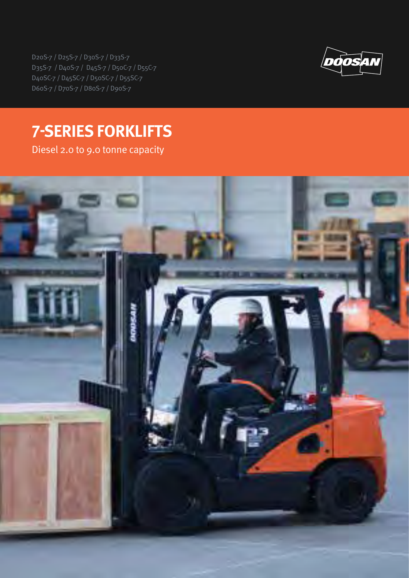D20S-7 / D25S-7 / D30S-7 / D33S-7 D35S-7 / D40S-7 / D45S-7 / D50C-7 / D55C-7 D40SC-7 / D45SC-7 / D50SC-7 / D55SC-7 D60S-7 / D70S-7 / D80S-7 / D90S-7



# **7-SERIES FORKLIFTS**

Diesel 2.0 to 9.0 tonne capacity

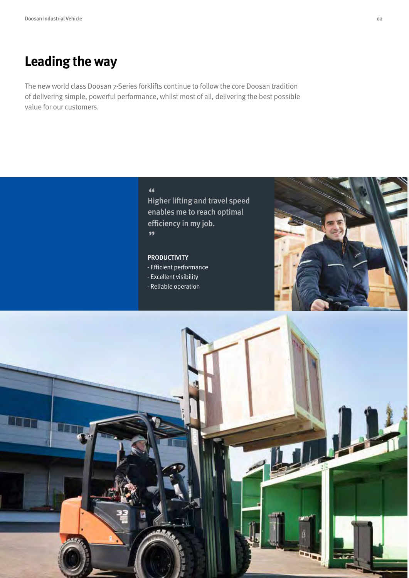### **Leading the way**

The new world class Doosan 7-Series forklifts continue to follow the core Doosan tradition of delivering simple, powerful performance, whilst most of all, delivering the best possible value for our customers.

Higher lifting and travel speed " enables me to reach optimal efficiency in my job. "

### PRODUCTIVITY

- Efficient performance
- Excellent visibility
- Reliable operation



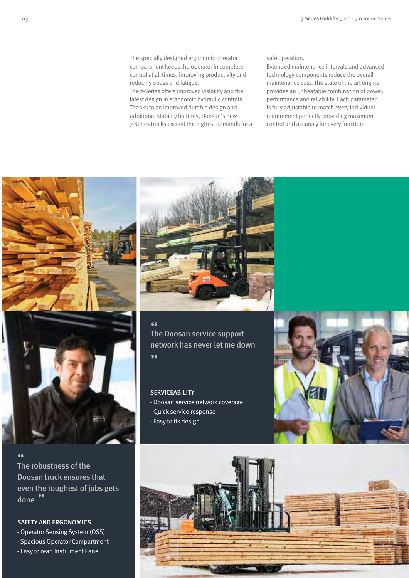The specially designed ergonomic operator compartment keeps the operator in complete control at all times, improving productivity and reducing stress and fatigue.

The 7-Series offers improved visibility and the latest design in ergonomic hydraulic controls. Thanks to an improved durable design and additional stability features, Doosan's new 7-Series trucks exceed the highest demands for a

### safe operation.

Extended maintenance intervals and advanced technology components reduce the overall maintenance cost. The state of the art engine provides an unbeatable combination of power, performance and reliability. Each parameter is fully adjustable to match every individual requirement perfectly, providing maximum control and accuracy for every function.



The robustness of the " Doosan truck ensures that even the toughest of jobs gets done ''

### SAFETY AND ERGONOMICS

- Operator Sensing System (OSS)

- Spacious Operator Compartment

- Easy to read Instrument Panel



The Doosan service support " network has never let me down "

### **SERVICEABILITY**

- Doosan service network coverage
- Quick service response
- Easy to fix design



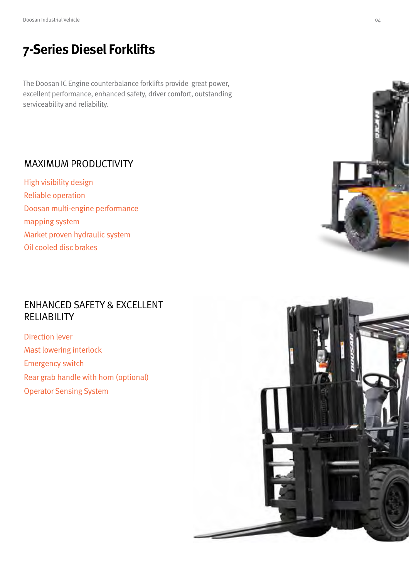# **7-Series Diesel Forklifts**

The Doosan IC Engine counterbalance forklifts provide great power, excellent performance, enhanced safety, driver comfort, outstanding serviceability and reliability.

### MAXIMUM PRODUCTIVITY

High visibility design Reliable operation Doosan multi-engine performance mapping system Market proven hydraulic system Oil cooled disc brakes

### ENHANCED SAFETY & EXCELLENT RELIABILITY

Direction lever Mast lowering interlock Emergency switch Rear grab handle with horn (optional) Operator Sensing System



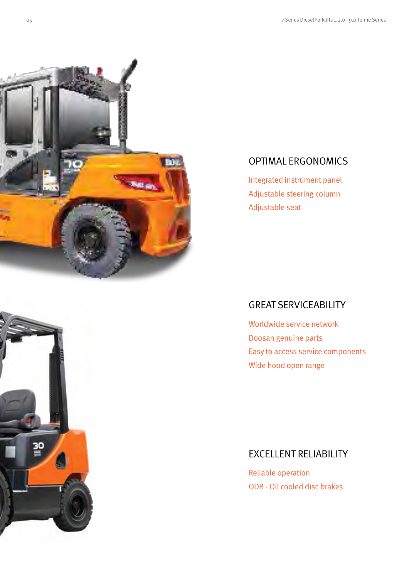

### OPTIMAL ERGONOMICS

Integrated instrument panel Adjustable steering column Adjustable seat

### GREAT SERVICEABILITY

Worldwide service network Doosan genuine parts Easy to access service components Wide hood open range

### EXCELLENT RELIABILITY

Reliable operation ODB - Oil cooled disc brakes

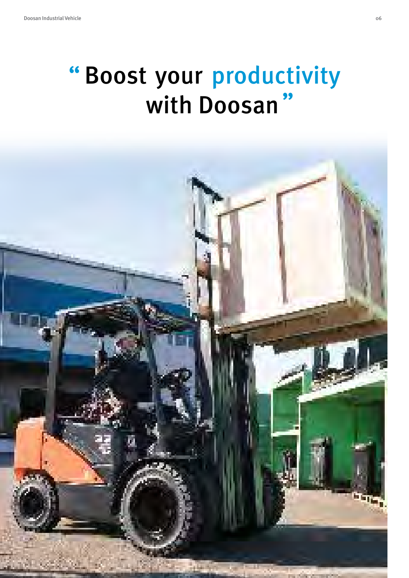# "Boost your productivity with Doosan "

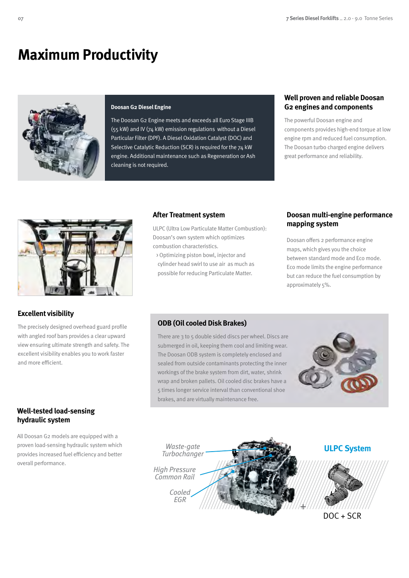## **Maximum Productivity**



#### **Doosan G2 Diesel Engine**

The Doosan G2 Engine meets and exceeds all Euro Stage IIIB (55 kW) and IV (74 kW) emission regulations without a Diesel Particular Filter (DPF). A Diesel Oxidation Catalyst (DOC) and Selective Catalytic Reduction (SCR) is required for the 74 kW engine. Additional maintenance such as Regeneration or Ash cleaning is not required.

### **Well proven and reliable Doosan G2 engines and components**

The powerful Doosan engine and components provides high-end torque at low engine rpm and reduced fuel consumption. The Doosan turbo charged engine delivers great performance and reliability.



### **Excellent visibility**

The precisely designed overhead guard profile with angled roof bars provides a clear upward view ensuring ultimate strength and safety. The excellent visibility enables you to work faster and more efficient.

### **Well-tested load-sensing hydraulic system**

All Doosan G2 models are equipped with a proven load-sensing hydraulic system which provides increased fuel efficiency and better overall performance.

### **After Treatment system**

ULPC (Ultra Low Particulate Matter Combustion): Doosan's own system which optimizes combustion characteristics.

 > Optimizing piston bowl, injector and cylinder head swirl to use air as much as possible for reducing Particulate Matter.

### **Doosan multi-engine performance mapping system**

Doosan offers 2 performance engine maps, which gives you the choice between standard mode and Eco mode. Eco mode limits the engine performance but can reduce the fuel consumption by approximately 5%.

### **ODB (Oil cooled Disk Brakes)**

There are 3 to 5 double sided discs per wheel. Discs are submerged in oil, keeping them cool and limiting wear. The Doosan ODB system is completely enclosed and sealed from outside contaminants protecting the inner workings of the brake system from dirt, water, shrink wrap and broken pallets. Oil cooled disc brakes have a 5 times longer service interval than conventional shoe brakes, and are virtually maintenance free.



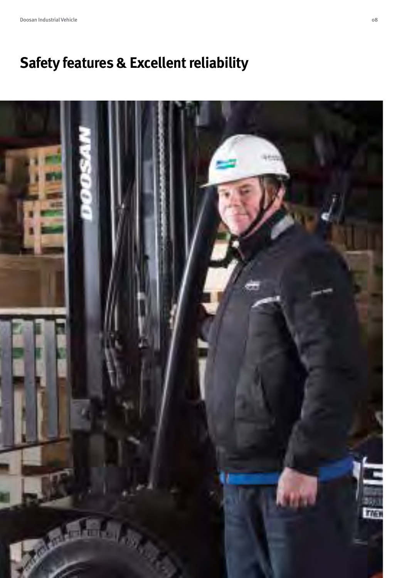# **Safety features & Excellent reliability**

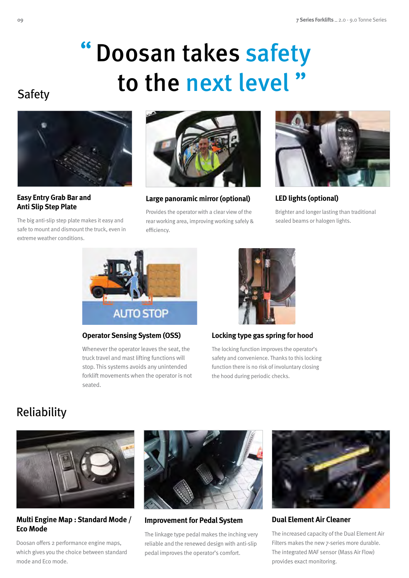# Doosan takes safety to the next level" "

### Safety



**Easy Entry Grab Bar and Anti Slip Step Plate** 

The big anti-slip step plate makes it easy and safe to mount and dismount the truck, even in extreme weather conditions.



**Large panoramic mirror (optional)**

Provides the operator with a clear view of the rear working area, improving working safely & efficiency.



**LED lights (optional)**

Brighter and longer lasting than traditional sealed beams or halogen lights.



### **Operator Sensing System (OSS)**

Whenever the operator leaves the seat, the truck travel and mast lifting functions will stop. This systems avoids any unintended forklift movements when the operator is not seated.



### **Locking type gas spring for hood**

The locking function improves the operator's safety and convenience. Thanks to this locking function there is no risk of involuntary closing the hood during periodic checks.

## Reliability



**Multi Engine Map : Standard Mode / Eco Mode**

Doosan offers 2 performance engine maps, which gives you the choice between standard mode and Eco mode.



**Improvement for Pedal System**

The linkage type pedal makes the inching very reliable and the renewed design with anti-slip pedal improves the operator's comfort.



**Dual Element Air Cleaner**

The increased capacity of the Dual Element Air Filters makes the new 7-series more durable. The integrated MAF sensor (Mass Air Flow) provides exact monitoring.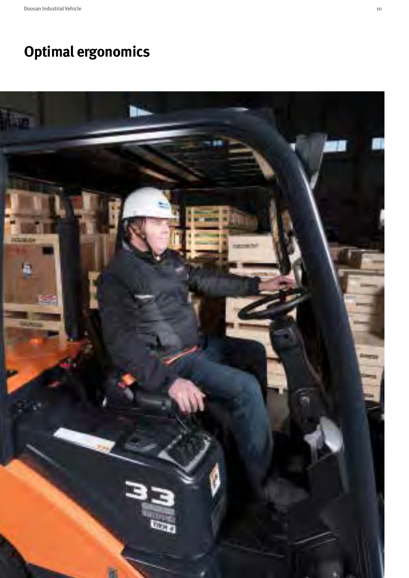# **Optimal ergonomics**

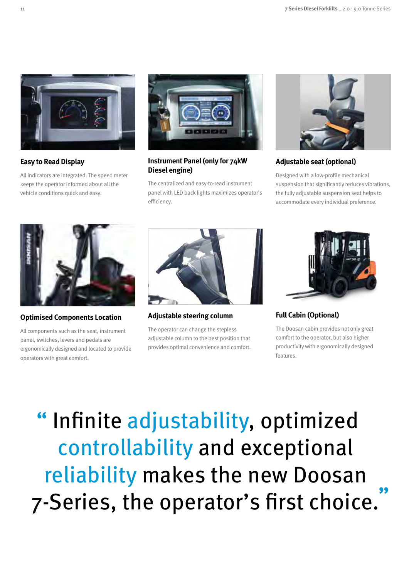

**Easy to Read Display**

All indicators are integrated. The speed meter keeps the operator informed about all the vehicle conditions quick and easy.



### **Instrument Panel (only for 74kW Diesel engine)**

The centralized and easy-to-read instrument panel with LED back lights maximizes operator's efficiency.



### **Adjustable seat (optional)**

Designed with a low-profile mechanical suspension that significantly reduces vibrations, the fully adjustable suspension seat helps to accommodate every individual preference.



**Optimised Components Location**

All components such as the seat, instrument panel, switches, levers and pedals are ergonomically designed and located to provide operators with great comfort.



**Adjustable steering column**

The operator can change the stepless adjustable column to the best position that provides optimal convenience and comfort.



**Full Cabin (Optional)**

The Doosan cabin provides not only great comfort to the operator, but also higher productivity with ergonomically designed features.

" Infinite adjustability, optimized controllability and exceptional reliability makes the new Doosan 7-Series, the operator's first choice. **"**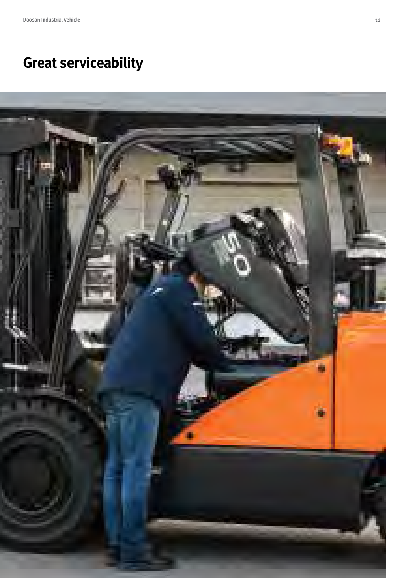# **Great serviceability**

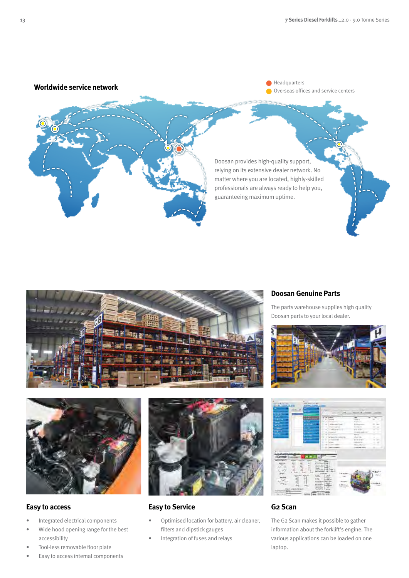



### **Doosan Genuine Parts**

The parts warehouse supplies high quality Doosan parts to your local dealer.





### **Easy to access**

- Integrated electrical components
- Wide hood opening range for the best accessibility
- Tool-less removable floor plate
- Easy to access internal components



### **Easy to Service**

- Optimised location for battery, air cleaner, filters and dipstick gauges
- Integration of fuses and relays



### **G2 Scan**

The G2 Scan makes it possible to gather information about the forklift's engine. The various applications can be loaded on one laptop.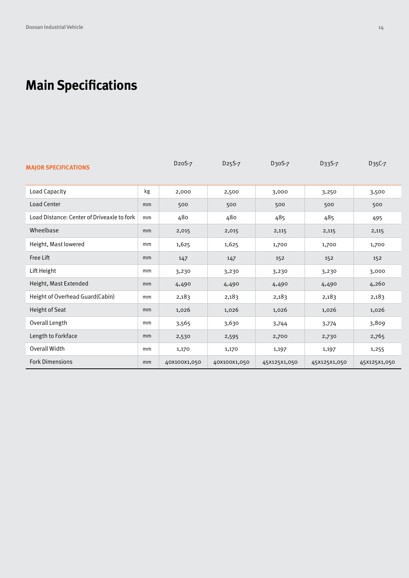# **Main Specifications**

| <b>MAJOR SPECIFICATIONS</b>                |    | D <sub>20</sub> S-7 | D <sub>25</sub> S-7 | D30S-7       | D33S-7       | D35C-7       |
|--------------------------------------------|----|---------------------|---------------------|--------------|--------------|--------------|
| Load Capacity                              | kg | 2,000               | 2,500               | 3,000        | 3,250        | 3,500        |
| Load Center                                | mm | 500                 | 500                 | 500          | 500          | 500          |
| Load Distance: Center of Driveaxle to fork | mm | 480                 | 480                 | 485          | 485          | 495          |
| Wheelbase                                  | mm | 2,015               | 2,015               | 2,115        | 2,115        | 2,115        |
| Height, Mast lowered                       | mm | 1,625               | 1,625               | 1,700        | 1,700        | 1,700        |
| Free Lift                                  | mm | 147                 | 147                 | 152          | 152          | 152          |
| Lift Height                                | mm | 3,230               | 3,230               | 3,230        | 3,230        | 3,000        |
| Height, Mast Extended                      | mm | 4,490               | 4,490               | 4,490        | 4,490        | 4,260        |
| Height of Overhead Guard(Cabin)            | mm | 2,183               | 2,183               | 2,183        | 2,183        | 2,183        |
| Height of Seat                             | mm | 1,026               | 1,026               | 1,026        | 1,026        | 1,026        |
| Overall Length                             | mm | 3,565               | 3,630               | 3,744        | 3,774        | 3,809        |
| Length to Forkface                         | mm | 2,530               | 2,595               | 2,700        | 2,730        | 2,765        |
| Overall Width                              | mm | 1,170               | 1,170               | 1,197        | 1,197        | 1,255        |
| <b>Fork Dimensions</b>                     | mm | 40X100X1,050        | 40X100X1,050        | 45X125X1,050 | 45X125X1,050 | 45X125X1,050 |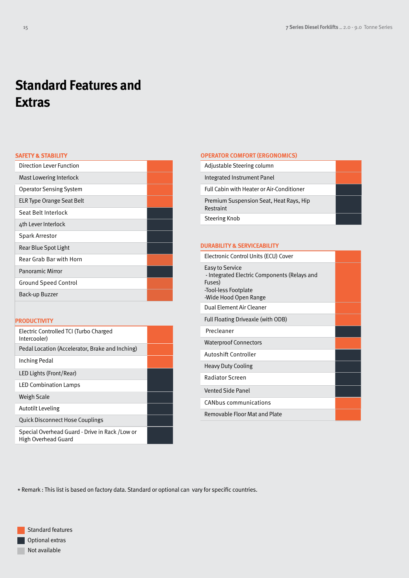# **Standard Features and Extras**

### **SAFETY & STABILITY**

| Direction Lever Function       |  |
|--------------------------------|--|
| Mast Lowering Interlock        |  |
| <b>Operator Sensing System</b> |  |
| ELR Type Orange Seat Belt      |  |
| Seat Belt Interlock            |  |
| 4th Lever Interlock            |  |
| <b>Spark Arrestor</b>          |  |
| Rear Blue Spot Light           |  |
| Rear Grab Bar with Horn        |  |
| <b>Panoramic Mirror</b>        |  |
| <b>Ground Speed Control</b>    |  |
| Back-up Buzzer                 |  |

### **PRODUCTIVITY**

| Electric Controlled TCI (Turbo Charged<br>Intercooler) |  |
|--------------------------------------------------------|--|
| Pedal Location (Accelerator, Brake and Inching)        |  |
| Inching Pedal                                          |  |
| LED Lights (Front/Rear)                                |  |
| <b>LED Combination Lamps</b>                           |  |
| Weigh Scale                                            |  |
| <b>Autotilt Leveling</b>                               |  |
| <b>Quick Disconnect Hose Couplings</b>                 |  |
| Special Overhead Guard - Drive in Rack / Low or        |  |

High Overhead Guard

### **OPERATOR COMFORT (ERGONOMICS)** Adjustable Steering column

| Integrated Instrument Panel                          |  |
|------------------------------------------------------|--|
| Full Cabin with Heater or Air-Conditioner            |  |
| Premium Suspension Seat, Heat Rays, Hip<br>Restraint |  |
| Steering Knob                                        |  |

### **DURABILITY & SERVICEABILITY**

| Electronic Control Units (ECU) Cover                                                                                       |  |
|----------------------------------------------------------------------------------------------------------------------------|--|
| Easy to Service<br>- Integrated Electric Components (Relays and<br>Fuses)<br>-Tool-less Footplate<br>-Wide Hood Open Range |  |
| Dual Element Air Cleaner                                                                                                   |  |
| Full Floating Driveaxle (with ODB)                                                                                         |  |
| Precleaner                                                                                                                 |  |
| <b>Waterproof Connectors</b>                                                                                               |  |
| Autoshift Controller                                                                                                       |  |
| <b>Heavy Duty Cooling</b>                                                                                                  |  |
| Radiator Screen                                                                                                            |  |
| <b>Vented Side Panel</b>                                                                                                   |  |
| <b>CANbus communications</b>                                                                                               |  |
| Removable Floor Mat and Plate                                                                                              |  |

\* Remark : This list is based on factory data. Standard or optional can vary for specific countries.

Standard features Optional extras Not available П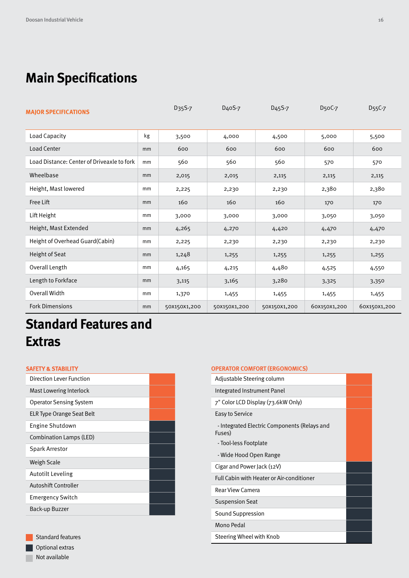# **Main Specifications**

| <b>MAJOR SPECIFICATIONS</b>                |    | D <sub>35</sub> S-7 | D <sub>4</sub> oS-7 | D <sub>45</sub> S-7 | D <sub>5</sub> oC-7 | D <sub>55</sub> C-7 |
|--------------------------------------------|----|---------------------|---------------------|---------------------|---------------------|---------------------|
| <b>Load Capacity</b>                       | kg | 3,500               | 4,000               | 4,500               | 5,000               | 5,500               |
| Load Center                                | mm | 600                 | 600                 | 600                 | 600                 | 600                 |
| Load Distance: Center of Driveaxle to fork | mm | 560                 | 560                 | 560                 | 570                 | 570                 |
| Wheelbase                                  | mm | 2,015               | 2,015               | 2,115               | 2,115               | 2,115               |
| Height, Mast lowered                       | mm | 2,225               | 2,230               | 2,230               | 2,380               | 2,380               |
| Free Lift                                  | mm | 160                 | 160                 | 160                 | 170                 | 170                 |
| Lift Height                                | mm | 3,000               | 3,000               | 3,000               | 3,050               | 3,050               |
| Height, Mast Extended                      | mm | 4,265               | 4,270               | 4,420               | 4,470               | 4,470               |
| Height of Overhead Guard(Cabin)            | mm | 2,225               | 2,230               | 2,230               | 2,230               | 2,230               |
| Height of Seat                             | mm | 1,248               | 1,255               | 1,255               | 1,255               | 1,255               |
| Overall Length                             | mm | 4,165               | 4,215               | 4,480               | 4,525               | 4,550               |
| Length to Forkface                         | mm | 3,115               | 3,165               | 3,280               | 3,325               | 3,350               |
| Overall Width                              | mm | 1,370               | 1,455               | 1,455               | 1,455               | 1,455               |
| <b>Fork Dimensions</b>                     | mm | 50X150X1,200        | 50X150X1,200        | 50X150X1,200        | 60X150X1,200        | 60X150X1,200        |

# **Standard Features and Extras**

### **SAFETY & STABILITY**

| Direction Lever Function         |  |
|----------------------------------|--|
| Mast Lowering Interlock          |  |
| <b>Operator Sensing System</b>   |  |
| <b>ELR Type Orange Seat Belt</b> |  |
| Engine Shutdown                  |  |
| Combination Lamps (LED)          |  |
| <b>Spark Arrestor</b>            |  |
| Weigh Scale                      |  |
| <b>Autotilt Leveling</b>         |  |
| Autoshift Controller             |  |
| <b>Emergency Switch</b>          |  |
| Back-up Buzzer                   |  |

### **OPERATOR COMFORT (ERGONOMICS)**

| Adjustable Steering column                             |  |  |  |  |
|--------------------------------------------------------|--|--|--|--|
| Integrated Instrument Panel                            |  |  |  |  |
| 7" Color LCD Display (73.6kW Only)                     |  |  |  |  |
| Easy to Service                                        |  |  |  |  |
| - Integrated Electric Components (Relays and<br>Fuses) |  |  |  |  |
| - Tool-less Footplate                                  |  |  |  |  |
| - Wide Hood Open Range                                 |  |  |  |  |
| Cigar and Power Jack (12V)                             |  |  |  |  |
| Full Cabin with Heater or Air-conditioner              |  |  |  |  |
| Rear View Camera                                       |  |  |  |  |
| <b>Suspension Seat</b>                                 |  |  |  |  |
| Sound Suppression                                      |  |  |  |  |
| Mono Pedal                                             |  |  |  |  |
| Steering Wheel with Knob                               |  |  |  |  |
|                                                        |  |  |  |  |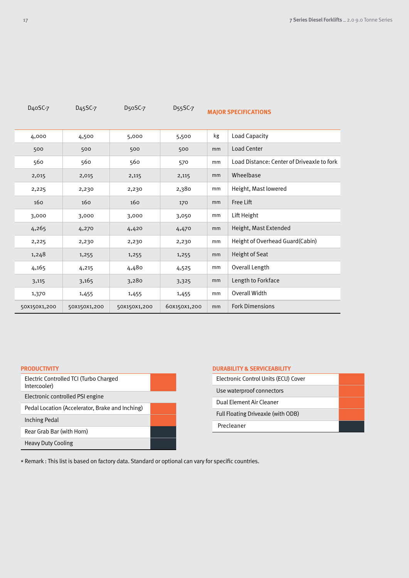| <b>MAJOR SPECIFICATIONS</b>                |    | D <sub>55</sub> SC-7 | D <sub>5</sub> oSC-7 | D <sub>45</sub> SC-7 | D <sub>4</sub> oSC-7 |
|--------------------------------------------|----|----------------------|----------------------|----------------------|----------------------|
| <b>Load Capacity</b>                       | kg | 5,500                | 5,000                | 4,500                | 4,000                |
| <b>Load Center</b>                         | mm | 500                  | 500                  | 500                  | 500                  |
| Load Distance: Center of Driveaxle to fork | mm | 570                  | 560                  | 560                  | 560                  |
| Wheelbase                                  | mm | 2,115                | 2,115                | 2,015                | 2,015                |
| Height, Mast lowered                       | mm | 2,380                | 2,230                | 2,230                | 2,225                |
| Free Lift                                  | mm | 170                  | 160                  | 160                  | 160                  |
| Lift Height                                | mm | 3,050                | 3,000                | 3,000                | 3,000                |
| Height, Mast Extended                      | mm | 4,470                | 4,420                | 4,270                | 4,265                |
| Height of Overhead Guard(Cabin)            | mm | 2,230                | 2,230                | 2,230                | 2,225                |
| Height of Seat                             | mm | 1,255                | 1,255                | 1,255                | 1,248                |
| Overall Length                             | mm | 4,525                | 4,480                | 4,215                | 4,165                |
| Length to Forkface                         | mm | 3,325                | 3,280                | 3,165                | 3,115                |
| Overall Width                              | mm | 1,455                | 1,455                | 1,455                | 1,370                |
| <b>Fork Dimensions</b>                     | mm | 60X150X1,200         | 50X150X1,200         | 50X150X1,200         | 50X150X1,200         |

### **PRODUCTIVITY**

| Electric Controlled TCI (Turbo Charged<br>Intercooler) |  |
|--------------------------------------------------------|--|
| Electronic controlled PSI engine                       |  |
| Pedal Location (Accelerator, Brake and Inching)        |  |
| Inching Pedal                                          |  |
| Rear Grab Bar (with Horn)                              |  |
| <b>Heavy Duty Cooling</b>                              |  |

| <b>DURABILITY &amp; SERVICEABILITY</b> |
|----------------------------------------|
| Flectronic Control Units (FCU) Cover   |

| ELECTIONIC CONTROL ONICS (ECO) COVER |  |
|--------------------------------------|--|
| Use waterproof connectors            |  |
| Dual Flement Air Cleaner             |  |
| Full Floating Driveaxle (with ODB)   |  |
| Precleaner                           |  |

\* Remark : This list is based on factory data. Standard or optional can vary for specific countries.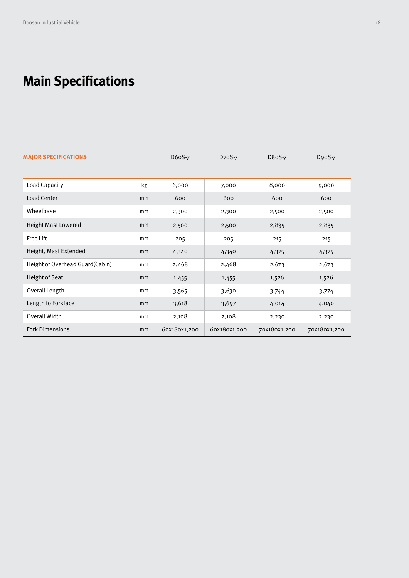# **Main Specifications**

| <b>MAJOR SPECIFICATIONS</b>     |    | D60S-7       | D <sub>70</sub> S-7 | D80S-7       | D90S-7       |
|---------------------------------|----|--------------|---------------------|--------------|--------------|
|                                 |    |              |                     |              |              |
| Load Capacity                   | kg | 6,000        | 7,000               | 8,000        | 9,000        |
| <b>Load Center</b>              | mm | 600          | 600                 | 600          | 600          |
| Wheelbase                       | mm | 2,300        | 2,300               | 2,500        | 2,500        |
| <b>Height Mast Lowered</b>      | mm | 2,500        | 2,500               | 2,835        | 2,835        |
| Free Lift                       | mm | 205          | 205                 | 215          | 215          |
| Height, Mast Extended           | mm | 4,340        | 4,340               | 4,375        | 4,375        |
| Height of Overhead Guard(Cabin) | mm | 2,468        | 2,468               | 2,673        | 2,673        |
| Height of Seat                  | mm | 1,455        | 1,455               | 1,526        | 1,526        |
| Overall Length                  | mm | 3,565        | 3,630               | 3,744        | 3,774        |
| Length to Forkface              | mm | 3,618        | 3,697               | 4,014        | 4,040        |
| Overall Width                   | mm | 2,108        | 2,108               | 2,230        | 2,230        |
| <b>Fork Dimensions</b>          | mm | 60X180X1,200 | 60X180X1,200        | 70X180X1,200 | 70X180X1,200 |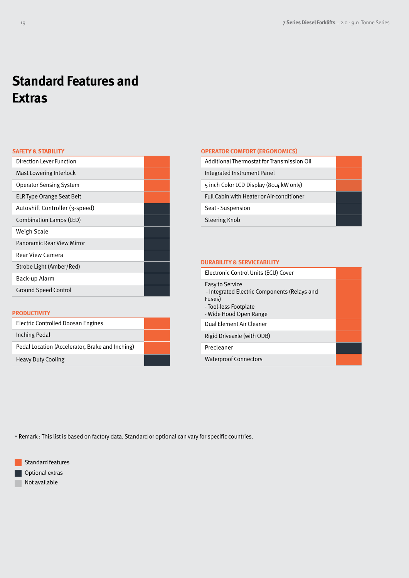# **Standard Features and Extras**

### **SAFETY & STABILITY**

| Direction Lever Function       |  |
|--------------------------------|--|
| Mast Lowering Interlock        |  |
| <b>Operator Sensing System</b> |  |
| ELR Type Orange Seat Belt      |  |
| Autoshift Controller (3-speed) |  |
| Combination Lamps (LED)        |  |
| Weigh Scale                    |  |
| Panoramic Rear View Mirror     |  |
| Rear View Camera               |  |
| Strobe Light (Amber/Red)       |  |
| Back-up Alarm                  |  |
| <b>Ground Speed Control</b>    |  |
|                                |  |

### **PRODUCTIVITY**

| Electric Controlled Doosan Engines              |  |
|-------------------------------------------------|--|
| Inching Pedal                                   |  |
| Pedal Location (Accelerator, Brake and Inching) |  |
| <b>Heavy Duty Cooling</b>                       |  |

### **OPERATOR COMFORT (ERGONOMICS)**

| Additional Thermostat for Transmission Oil |  |
|--------------------------------------------|--|
| Integrated Instrument Panel                |  |
| 5 inch Color LCD Display (80.4 kW only)    |  |
| Full Cabin with Heater or Air-conditioner  |  |
| Seat - Suspension                          |  |
| Steering Knob                              |  |

### **DURABILITY & SERVICEABILITY**

| Electronic Control Units (ECU) Cover                                                                                         |  |
|------------------------------------------------------------------------------------------------------------------------------|--|
| Easy to Service<br>- Integrated Electric Components (Relays and<br>Fuses)<br>- Tool-less Footplate<br>- Wide Hood Open Range |  |
| Dual Element Air Cleaner                                                                                                     |  |
| Rigid Driveaxle (with ODB)                                                                                                   |  |
| Precleaner                                                                                                                   |  |
| <b>Waterproof Connectors</b>                                                                                                 |  |

\* Remark : This list is based on factory data. Standard or optional can vary for specific countries.

Standard features **Optional extras** Not available **Contract**